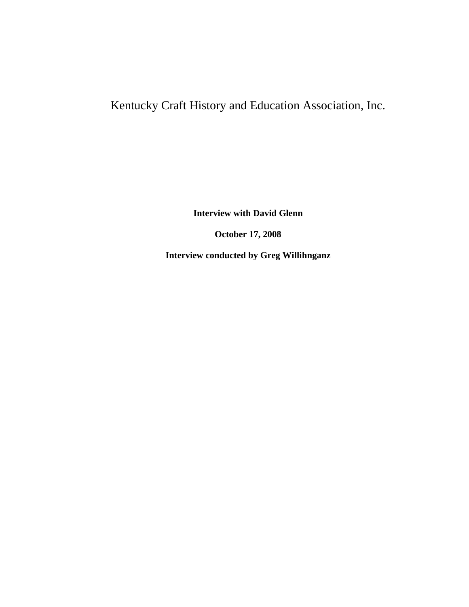# Kentucky Craft History and Education Association, Inc.

**Interview with David Glenn**

**October 17, 2008**

**Interview conducted by Greg Willihnganz**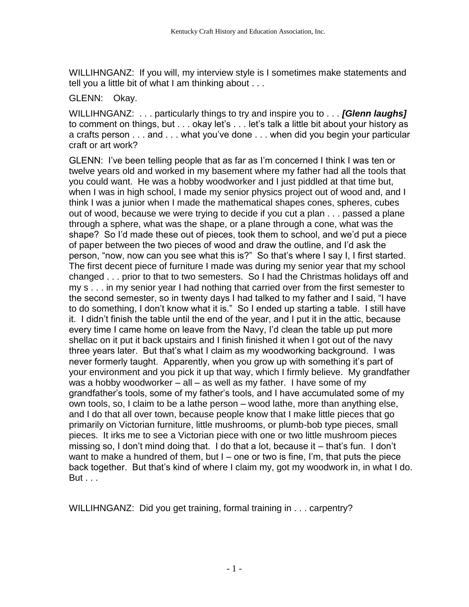WILLIHNGANZ: If you will, my interview style is I sometimes make statements and tell you a little bit of what I am thinking about . . .

# GLENN: Okay.

WILLIHNGANZ: . . . particularly things to try and inspire you to . . . *[Glenn laughs]* to comment on things, but . . . okay let's . . . let's talk a little bit about your history as a crafts person . . . and . . . what you've done . . . when did you begin your particular craft or art work?

GLENN: I've been telling people that as far as I'm concerned I think I was ten or twelve years old and worked in my basement where my father had all the tools that you could want. He was a hobby woodworker and I just piddled at that time but, when I was in high school, I made my senior physics project out of wood and, and I think I was a junior when I made the mathematical shapes cones, spheres, cubes out of wood, because we were trying to decide if you cut a plan . . . passed a plane through a sphere, what was the shape, or a plane through a cone, what was the shape? So I'd made these out of pieces, took them to school, and we'd put a piece of paper between the two pieces of wood and draw the outline, and I'd ask the person, "now, now can you see what this is?" So that's where I say I, I first started. The first decent piece of furniture I made was during my senior year that my school changed . . . prior to that to two semesters. So I had the Christmas holidays off and my s . . . in my senior year I had nothing that carried over from the first semester to the second semester, so in twenty days I had talked to my father and I said, "I have to do something, I don't know what it is." So I ended up starting a table. I still have it. I didn't finish the table until the end of the year, and I put it in the attic, because every time I came home on leave from the Navy, I'd clean the table up put more shellac on it put it back upstairs and I finish finished it when I got out of the navy three years later. But that's what I claim as my woodworking background. I was never formerly taught. Apparently, when you grow up with something it's part of your environment and you pick it up that way, which I firmly believe. My grandfather was a hobby woodworker  $-$  all  $-$  as well as my father. I have some of my grandfather's tools, some of my father's tools, and I have accumulated some of my own tools, so, I claim to be a lathe person – wood lathe, more than anything else, and I do that all over town, because people know that I make little pieces that go primarily on Victorian furniture, little mushrooms, or plumb-bob type pieces, small pieces. It irks me to see a Victorian piece with one or two little mushroom pieces missing so, I don't mind doing that. I do that a lot, because it – that's fun. I don't want to make a hundred of them, but  $I$  – one or two is fine, I'm, that puts the piece back together. But that's kind of where I claim my, got my woodwork in, in what I do. But . . .

WILLIHNGANZ: Did you get training, formal training in . . . carpentry?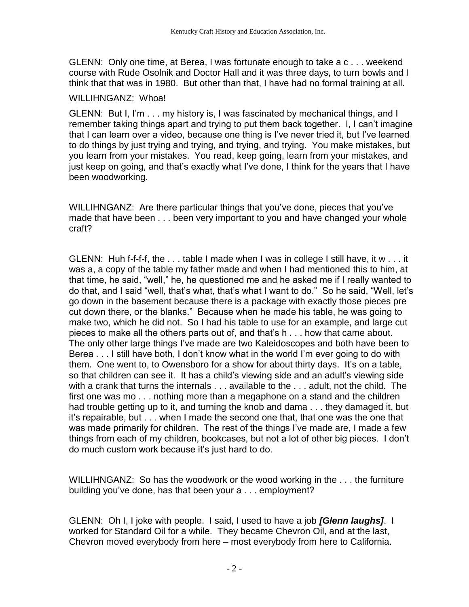GLENN: Only one time, at Berea, I was fortunate enough to take a c . . . weekend course with Rude Osolnik and Doctor Hall and it was three days, to turn bowls and I think that that was in 1980. But other than that, I have had no formal training at all.

#### WILLIHNGANZ: Whoa!

GLENN: But I, I'm . . . my history is, I was fascinated by mechanical things, and I remember taking things apart and trying to put them back together. I, I can't imagine that I can learn over a video, because one thing is I've never tried it, but I've learned to do things by just trying and trying, and trying, and trying. You make mistakes, but you learn from your mistakes. You read, keep going, learn from your mistakes, and just keep on going, and that's exactly what I've done, I think for the years that I have been woodworking.

WILLIHNGANZ: Are there particular things that you've done, pieces that you've made that have been . . . been very important to you and have changed your whole craft?

GLENN: Huh f-f-f-f, the . . . table I made when I was in college I still have, it w . . . it was a, a copy of the table my father made and when I had mentioned this to him, at that time, he said, "well," he, he questioned me and he asked me if I really wanted to do that, and I said "well, that's what, that's what I want to do." So he said, "Well, let's go down in the basement because there is a package with exactly those pieces pre cut down there, or the blanks." Because when he made his table, he was going to make two, which he did not. So I had his table to use for an example, and large cut pieces to make all the others parts out of, and that's h . . . how that came about. The only other large things I've made are two Kaleidoscopes and both have been to Berea . . . I still have both, I don't know what in the world I'm ever going to do with them. One went to, to Owensboro for a show for about thirty days. It's on a table, so that children can see it. It has a child's viewing side and an adult's viewing side with a crank that turns the internals . . . available to the . . . adult, not the child. The first one was mo . . . nothing more than a megaphone on a stand and the children had trouble getting up to it, and turning the knob and dama . . . they damaged it, but it's repairable, but . . . when I made the second one that, that one was the one that was made primarily for children. The rest of the things I've made are, I made a few things from each of my children, bookcases, but not a lot of other big pieces. I don't do much custom work because it's just hard to do.

WILLIHNGANZ: So has the woodwork or the wood working in the . . . the furniture building you've done, has that been your a . . . employment?

GLENN: Oh I, I joke with people. I said, I used to have a job *[Glenn laughs]*. I worked for Standard Oil for a while. They became Chevron Oil, and at the last, Chevron moved everybody from here – most everybody from here to California.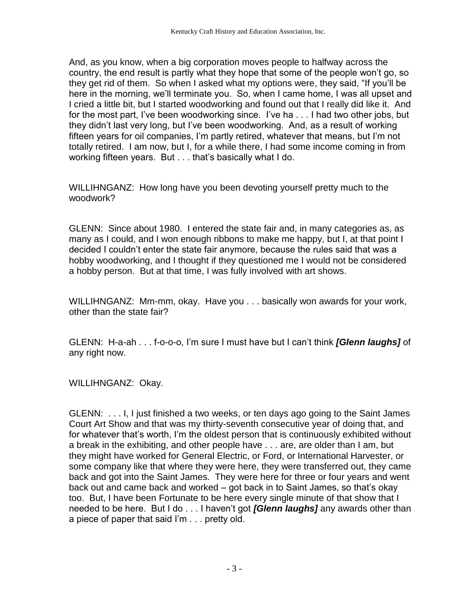And, as you know, when a big corporation moves people to halfway across the country, the end result is partly what they hope that some of the people won't go, so they get rid of them. So when I asked what my options were, they said, "If you'll be here in the morning, we'll terminate you. So, when I came home, I was all upset and I cried a little bit, but I started woodworking and found out that I really did like it. And for the most part, I've been woodworking since. I've ha . . . I had two other jobs, but they didn't last very long, but I've been woodworking. And, as a result of working fifteen years for oil companies, I'm partly retired, whatever that means, but I'm not totally retired. I am now, but I, for a while there, I had some income coming in from working fifteen years. But . . . that's basically what I do.

WILLIHNGANZ: How long have you been devoting yourself pretty much to the woodwork?

GLENN: Since about 1980. I entered the state fair and, in many categories as, as many as I could, and I won enough ribbons to make me happy, but I, at that point I decided I couldn't enter the state fair anymore, because the rules said that was a hobby woodworking, and I thought if they questioned me I would not be considered a hobby person. But at that time, I was fully involved with art shows.

WILLIHNGANZ: Mm-mm, okay. Have you . . . basically won awards for your work, other than the state fair?

GLENN: H-a-ah . . . f-o-o-o, I'm sure I must have but I can't think *[Glenn laughs]* of any right now.

WILLIHNGANZ: Okay.

GLENN: . . . I, I just finished a two weeks, or ten days ago going to the Saint James Court Art Show and that was my thirty-seventh consecutive year of doing that, and for whatever that's worth, I'm the oldest person that is continuously exhibited without a break in the exhibiting, and other people have . . . are, are older than I am, but they might have worked for General Electric, or Ford, or International Harvester, or some company like that where they were here, they were transferred out, they came back and got into the Saint James. They were here for three or four years and went back out and came back and worked – got back in to Saint James, so that's okay too. But, I have been Fortunate to be here every single minute of that show that I needed to be here. But I do . . . I haven't got *[Glenn laughs]* any awards other than a piece of paper that said I'm . . . pretty old.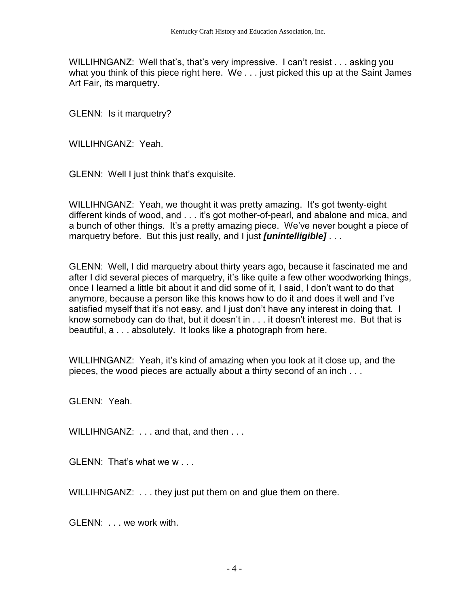WILLIHNGANZ: Well that's, that's very impressive. I can't resist . . . asking you what you think of this piece right here. We . . . just picked this up at the Saint James Art Fair, its marquetry.

GLENN: Is it marquetry?

WILLIHNGANZ: Yeah.

GLENN: Well I just think that's exquisite.

WILLIHNGANZ: Yeah, we thought it was pretty amazing. It's got twenty-eight different kinds of wood, and . . . it's got mother-of-pearl, and abalone and mica, and a bunch of other things. It's a pretty amazing piece. We've never bought a piece of marquetry before. But this just really, and I just *[unintelligible]* . . .

GLENN: Well, I did marquetry about thirty years ago, because it fascinated me and after I did several pieces of marquetry, it's like quite a few other woodworking things, once I learned a little bit about it and did some of it, I said, I don't want to do that anymore, because a person like this knows how to do it and does it well and I've satisfied myself that it's not easy, and I just don't have any interest in doing that. I know somebody can do that, but it doesn't in . . . it doesn't interest me. But that is beautiful, a . . . absolutely. It looks like a photograph from here.

WILLIHNGANZ: Yeah, it's kind of amazing when you look at it close up, and the pieces, the wood pieces are actually about a thirty second of an inch . . .

GLENN: Yeah.

WILLIHNGANZ: . . . and that, and then . . .

GLENN: That's what we w . . .

WILLIHNGANZ: . . . they just put them on and glue them on there.

GLENN: . . . we work with.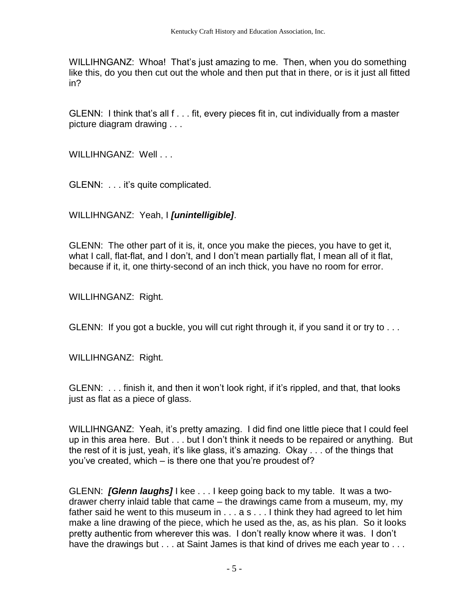WILLIHNGANZ: Whoa! That's just amazing to me. Then, when you do something like this, do you then cut out the whole and then put that in there, or is it just all fitted in?

GLENN: I think that's all f . . . fit, every pieces fit in, cut individually from a master picture diagram drawing . . .

WILLIHNGANZ: Well...

GLENN: . . . it's quite complicated.

WILLIHNGANZ: Yeah, I *[unintelligible]*.

GLENN: The other part of it is, it, once you make the pieces, you have to get it, what I call, flat-flat, and I don't, and I don't mean partially flat, I mean all of it flat, because if it, it, one thirty-second of an inch thick, you have no room for error.

WILLIHNGANZ: Right.

GLENN: If you got a buckle, you will cut right through it, if you sand it or try to . . .

WILLIHNGANZ: Right.

GLENN: . . . finish it, and then it won't look right, if it's rippled, and that, that looks just as flat as a piece of glass.

WILLIHNGANZ: Yeah, it's pretty amazing. I did find one little piece that I could feel up in this area here. But . . . but I don't think it needs to be repaired or anything. But the rest of it is just, yeah, it's like glass, it's amazing. Okay . . . of the things that you've created, which – is there one that you're proudest of?

GLENN: *[Glenn laughs]* I kee . . . I keep going back to my table. It was a twodrawer cherry inlaid table that came – the drawings came from a museum, my, my father said he went to this museum in . . . a s . . . I think they had agreed to let him make a line drawing of the piece, which he used as the, as, as his plan. So it looks pretty authentic from wherever this was. I don't really know where it was. I don't have the drawings but . . . at Saint James is that kind of drives me each year to . . .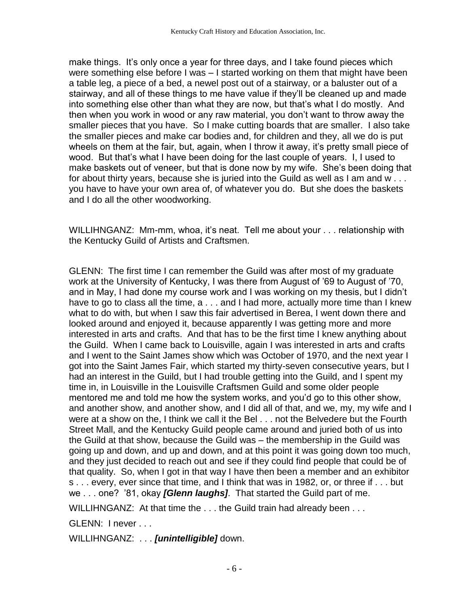make things. It's only once a year for three days, and I take found pieces which were something else before I was – I started working on them that might have been a table leg, a piece of a bed, a newel post out of a stairway, or a baluster out of a stairway, and all of these things to me have value if they'll be cleaned up and made into something else other than what they are now, but that's what I do mostly. And then when you work in wood or any raw material, you don't want to throw away the smaller pieces that you have. So I make cutting boards that are smaller. I also take the smaller pieces and make car bodies and, for children and they, all we do is put wheels on them at the fair, but, again, when I throw it away, it's pretty small piece of wood. But that's what I have been doing for the last couple of years. I, I used to make baskets out of veneer, but that is done now by my wife. She's been doing that for about thirty years, because she is juried into the Guild as well as I am and w . . . you have to have your own area of, of whatever you do. But she does the baskets and I do all the other woodworking.

WILLIHNGANZ: Mm-mm, whoa, it's neat. Tell me about your . . . relationship with the Kentucky Guild of Artists and Craftsmen.

GLENN: The first time I can remember the Guild was after most of my graduate work at the University of Kentucky, I was there from August of '69 to August of '70, and in May, I had done my course work and I was working on my thesis, but I didn't have to go to class all the time, a . . . and I had more, actually more time than I knew what to do with, but when I saw this fair advertised in Berea, I went down there and looked around and enjoyed it, because apparently I was getting more and more interested in arts and crafts. And that has to be the first time I knew anything about the Guild. When I came back to Louisville, again I was interested in arts and crafts and I went to the Saint James show which was October of 1970, and the next year I got into the Saint James Fair, which started my thirty-seven consecutive years, but I had an interest in the Guild, but I had trouble getting into the Guild, and I spent my time in, in Louisville in the Louisville Craftsmen Guild and some older people mentored me and told me how the system works, and you'd go to this other show, and another show, and another show, and I did all of that, and we, my, my wife and I were at a show on the, I think we call it the Bel . . . not the Belvedere but the Fourth Street Mall, and the Kentucky Guild people came around and juried both of us into the Guild at that show, because the Guild was – the membership in the Guild was going up and down, and up and down, and at this point it was going down too much, and they just decided to reach out and see if they could find people that could be of that quality. So, when I got in that way I have then been a member and an exhibitor s . . . every, ever since that time, and I think that was in 1982, or, or three if . . . but we . . . one? '81, okay *[Glenn laughs]*. That started the Guild part of me.

WILLIHNGANZ: At that time the . . . the Guild train had already been . . .

GLENN: I never . . .

WILLIHNGANZ: . . . *[unintelligible]* down.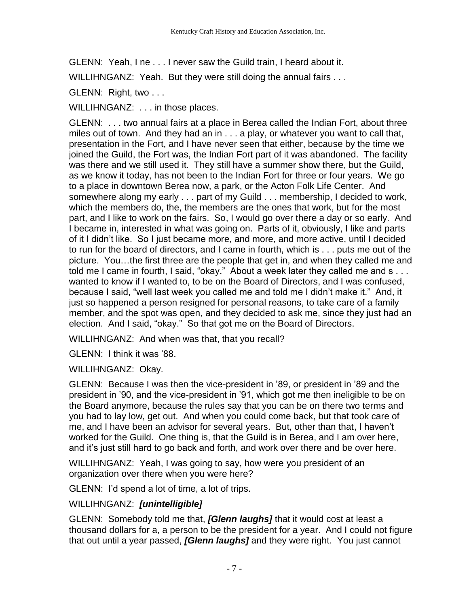GLENN: Yeah, I ne . . . I never saw the Guild train, I heard about it.

WILLIHNGANZ: Yeah. But they were still doing the annual fairs . . .

GLENN: Right, two . . .

WILLIHNGANZ: . . . in those places.

GLENN: . . . two annual fairs at a place in Berea called the Indian Fort, about three miles out of town. And they had an in . . . a play, or whatever you want to call that, presentation in the Fort, and I have never seen that either, because by the time we joined the Guild, the Fort was, the Indian Fort part of it was abandoned. The facility was there and we still used it. They still have a summer show there, but the Guild, as we know it today, has not been to the Indian Fort for three or four years. We go to a place in downtown Berea now, a park, or the Acton Folk Life Center. And somewhere along my early . . . part of my Guild . . . membership, I decided to work, which the members do, the, the members are the ones that work, but for the most part, and I like to work on the fairs. So, I would go over there a day or so early. And I became in, interested in what was going on. Parts of it, obviously, I like and parts of it I didn't like. So I just became more, and more, and more active, until I decided to run for the board of directors, and I came in fourth, which is . . . puts me out of the picture. You…the first three are the people that get in, and when they called me and told me I came in fourth, I said, "okay." About a week later they called me and s . . . wanted to know if I wanted to, to be on the Board of Directors, and I was confused, because I said, "well last week you called me and told me I didn't make it." And, it just so happened a person resigned for personal reasons, to take care of a family member, and the spot was open, and they decided to ask me, since they just had an election. And I said, "okay." So that got me on the Board of Directors.

WILLIHNGANZ: And when was that, that you recall?

GLENN: I think it was '88.

WILLIHNGANZ: Okay.

GLENN: Because I was then the vice-president in '89, or president in '89 and the president in '90, and the vice-president in '91, which got me then ineligible to be on the Board anymore, because the rules say that you can be on there two terms and you had to lay low, get out. And when you could come back, but that took care of me, and I have been an advisor for several years. But, other than that, I haven't worked for the Guild. One thing is, that the Guild is in Berea, and I am over here, and it's just still hard to go back and forth, and work over there and be over here.

WILLIHNGANZ: Yeah, I was going to say, how were you president of an organization over there when you were here?

GLENN: I'd spend a lot of time, a lot of trips.

WILLIHNGANZ: *[unintelligible]*

GLENN: Somebody told me that, *[Glenn laughs]* that it would cost at least a thousand dollars for a, a person to be the president for a year. And I could not figure that out until a year passed, *[Glenn laughs]* and they were right. You just cannot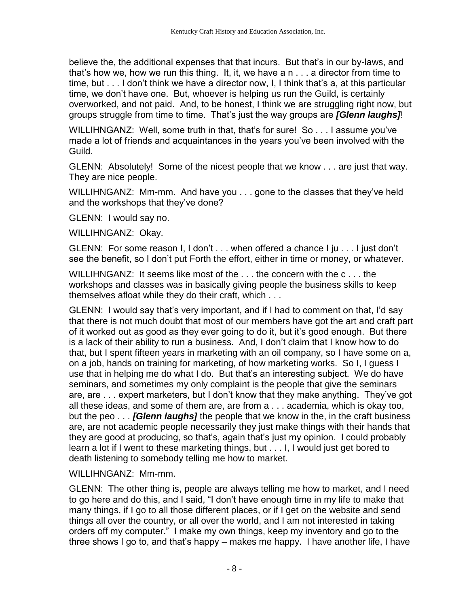believe the, the additional expenses that that incurs. But that's in our by-laws, and that's how we, how we run this thing. It, it, we have a n . . . a director from time to time, but . . . I don't think we have a director now, I, I think that's a, at this particular time, we don't have one. But, whoever is helping us run the Guild, is certainly overworked, and not paid. And, to be honest, I think we are struggling right now, but groups struggle from time to time. That's just the way groups are *[Glenn laughs]*!

WILLIHNGANZ: Well, some truth in that, that's for sure! So . . . I assume you've made a lot of friends and acquaintances in the years you've been involved with the Guild.

GLENN: Absolutely! Some of the nicest people that we know . . . are just that way. They are nice people.

WILLIHNGANZ: Mm-mm. And have you . . . gone to the classes that they've held and the workshops that they've done?

GLENN: I would say no.

WILLIHNGANZ: Okay.

GLENN: For some reason I, I don't . . . when offered a chance I ju . . . I just don't see the benefit, so I don't put Forth the effort, either in time or money, or whatever.

WILLIHNGANZ: It seems like most of the . . . the concern with the c . . . the workshops and classes was in basically giving people the business skills to keep themselves afloat while they do their craft, which . . .

GLENN: I would say that's very important, and if I had to comment on that, I'd say that there is not much doubt that most of our members have got the art and craft part of it worked out as good as they ever going to do it, but it's good enough. But there is a lack of their ability to run a business. And, I don't claim that I know how to do that, but I spent fifteen years in marketing with an oil company, so I have some on a, on a job, hands on training for marketing, of how marketing works. So I, I guess I use that in helping me do what I do. But that's an interesting subject. We do have seminars, and sometimes my only complaint is the people that give the seminars are, are . . . expert marketers, but I don't know that they make anything. They've got all these ideas, and some of them are, are from a . . . academia, which is okay too, but the peo . . . *[Glenn laughs]* the people that we know in the, in the craft business are, are not academic people necessarily they just make things with their hands that they are good at producing, so that's, again that's just my opinion. I could probably learn a lot if I went to these marketing things, but . . . I, I would just get bored to death listening to somebody telling me how to market.

# WILLIHNGANZ: Mm-mm.

GLENN: The other thing is, people are always telling me how to market, and I need to go here and do this, and I said, "I don't have enough time in my life to make that many things, if I go to all those different places, or if I get on the website and send things all over the country, or all over the world, and I am not interested in taking orders off my computer." I make my own things, keep my inventory and go to the three shows I go to, and that's happy – makes me happy. I have another life, I have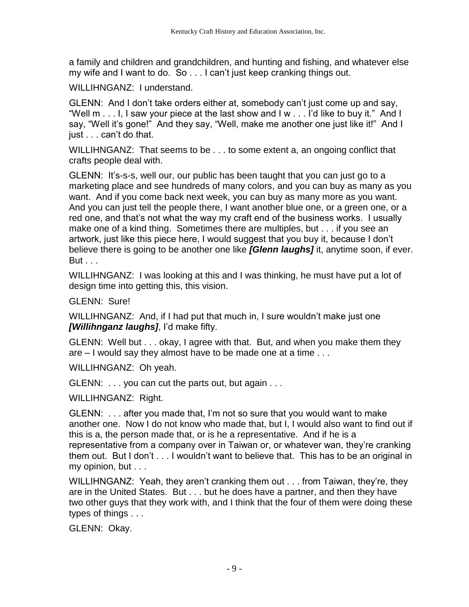a family and children and grandchildren, and hunting and fishing, and whatever else my wife and I want to do. So . . . I can't just keep cranking things out.

WILLIHNGANZ: I understand.

GLENN: And I don't take orders either at, somebody can't just come up and say, "Well m . . . I, I saw your piece at the last show and I w . . . I'd like to buy it." And I say, "Well it's gone!" And they say, "Well, make me another one just like it!" And I just . . . can't do that.

WILLIHNGANZ: That seems to be . . . to some extent a, an ongoing conflict that crafts people deal with.

GLENN: It's-s-s, well our, our public has been taught that you can just go to a marketing place and see hundreds of many colors, and you can buy as many as you want. And if you come back next week, you can buy as many more as you want. And you can just tell the people there, I want another blue one, or a green one, or a red one, and that's not what the way my craft end of the business works. I usually make one of a kind thing. Sometimes there are multiples, but . . . if you see an artwork, just like this piece here, I would suggest that you buy it, because I don't believe there is going to be another one like *[Glenn laughs]* it, anytime soon, if ever. But . . .

WILLIHNGANZ: I was looking at this and I was thinking, he must have put a lot of design time into getting this, this vision.

GLENN: Sure!

WILLIHNGANZ: And, if I had put that much in, I sure wouldn't make just one *[Willihnganz laughs]*, I'd make fifty.

GLENN: Well but . . . okay, I agree with that. But, and when you make them they are – I would say they almost have to be made one at a time . . .

WILLIHNGANZ: Oh yeah.

GLENN: . . . you can cut the parts out, but again . . .

WILLIHNGANZ: Right.

GLENN: . . . after you made that, I'm not so sure that you would want to make another one. Now I do not know who made that, but I, I would also want to find out if this is a, the person made that, or is he a representative. And if he is a representative from a company over in Taiwan or, or whatever wan, they're cranking them out. But I don't . . . I wouldn't want to believe that. This has to be an original in my opinion, but . . .

WILLIHNGANZ: Yeah, they aren't cranking them out . . . from Taiwan, they're, they are in the United States. But . . . but he does have a partner, and then they have two other guys that they work with, and I think that the four of them were doing these types of things . . .

GLENN: Okay.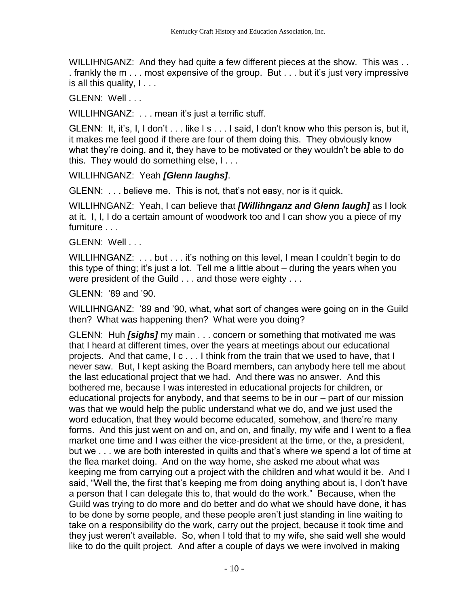WILLIHNGANZ: And they had quite a few different pieces at the show. This was . . . frankly the m . . . most expensive of the group. But . . . but it's just very impressive is all this quality,  $l \ldots$ 

GLENN: Well . . .

WILLIHNGANZ: . . . mean it's just a terrific stuff.

GLENN: It, it's, I, I don't . . . like I s . . . I said, I don't know who this person is, but it, it makes me feel good if there are four of them doing this. They obviously know what they're doing, and it, they have to be motivated or they wouldn't be able to do this. They would do something else, I . . .

WILLIHNGANZ: Yeah *[Glenn laughs]*.

GLENN: . . . believe me. This is not, that's not easy, nor is it quick.

WILLIHNGANZ: Yeah, I can believe that *[Willihnganz and Glenn laugh]* as I look at it. I, I, I do a certain amount of woodwork too and I can show you a piece of my furniture . . .

GLENN: Well...

WILLIHNGANZ: ... but ... it's nothing on this level, I mean I couldn't begin to do this type of thing; it's just a lot. Tell me a little about – during the years when you were president of the Guild . . . and those were eighty . . .

GLENN: '89 and '90.

WILLIHNGANZ: '89 and '90, what, what sort of changes were going on in the Guild then? What was happening then? What were you doing?

GLENN: Huh *[sighs]* my main . . . concern or something that motivated me was that I heard at different times, over the years at meetings about our educational projects. And that came, I c . . . I think from the train that we used to have, that I never saw. But, I kept asking the Board members, can anybody here tell me about the last educational project that we had. And there was no answer. And this bothered me, because I was interested in educational projects for children, or educational projects for anybody, and that seems to be in our – part of our mission was that we would help the public understand what we do, and we just used the word education, that they would become educated, somehow, and there're many forms. And this just went on and on, and on, and finally, my wife and I went to a flea market one time and I was either the vice-president at the time, or the, a president, but we . . . we are both interested in quilts and that's where we spend a lot of time at the flea market doing. And on the way home, she asked me about what was keeping me from carrying out a project with the children and what would it be. And I said, "Well the, the first that's keeping me from doing anything about is, I don't have a person that I can delegate this to, that would do the work." Because, when the Guild was trying to do more and do better and do what we should have done, it has to be done by some people, and these people aren't just standing in line waiting to take on a responsibility do the work, carry out the project, because it took time and they just weren't available. So, when I told that to my wife, she said well she would like to do the quilt project. And after a couple of days we were involved in making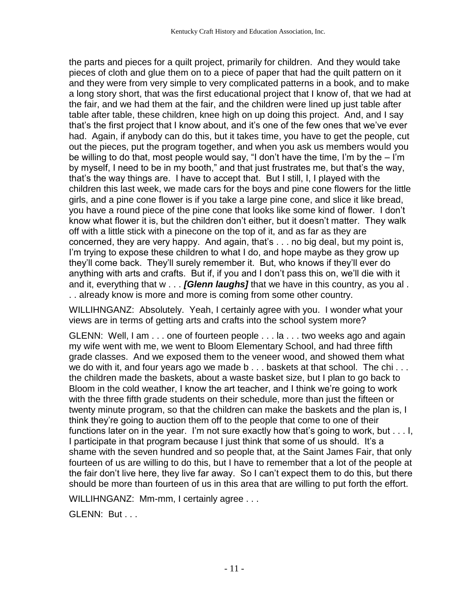the parts and pieces for a quilt project, primarily for children. And they would take pieces of cloth and glue them on to a piece of paper that had the quilt pattern on it and they were from very simple to very complicated patterns in a book, and to make a long story short, that was the first educational project that I know of, that we had at the fair, and we had them at the fair, and the children were lined up just table after table after table, these children, knee high on up doing this project. And, and I say that's the first project that I know about, and it's one of the few ones that we've ever had. Again, if anybody can do this, but it takes time, you have to get the people, cut out the pieces, put the program together, and when you ask us members would you be willing to do that, most people would say, "I don't have the time, I'm by the – I'm by myself, I need to be in my booth," and that just frustrates me, but that's the way, that's the way things are. I have to accept that. But I still, I, I played with the children this last week, we made cars for the boys and pine cone flowers for the little girls, and a pine cone flower is if you take a large pine cone, and slice it like bread, you have a round piece of the pine cone that looks like some kind of flower. I don't know what flower it is, but the children don't either, but it doesn't matter. They walk off with a little stick with a pinecone on the top of it, and as far as they are concerned, they are very happy. And again, that's . . . no big deal, but my point is, I'm trying to expose these children to what I do, and hope maybe as they grow up they'll come back. They'll surely remember it. But, who knows if they'll ever do anything with arts and crafts. But if, if you and I don't pass this on, we'll die with it and it, everything that w . . . *[Glenn laughs]* that we have in this country, as you al . . . already know is more and more is coming from some other country.

WILLIHNGANZ: Absolutely. Yeah, I certainly agree with you. I wonder what your views are in terms of getting arts and crafts into the school system more?

GLENN: Well, I am . . . one of fourteen people . . . la . . . two weeks ago and again my wife went with me, we went to Bloom Elementary School, and had three fifth grade classes. And we exposed them to the veneer wood, and showed them what we do with it, and four years ago we made b . . . baskets at that school. The chi . . . the children made the baskets, about a waste basket size, but I plan to go back to Bloom in the cold weather, I know the art teacher, and I think we're going to work with the three fifth grade students on their schedule, more than just the fifteen or twenty minute program, so that the children can make the baskets and the plan is, I think they're going to auction them off to the people that come to one of their functions later on in the year. I'm not sure exactly how that's going to work, but . . . I, I participate in that program because I just think that some of us should. It's a shame with the seven hundred and so people that, at the Saint James Fair, that only fourteen of us are willing to do this, but I have to remember that a lot of the people at the fair don't live here, they live far away. So I can't expect them to do this, but there should be more than fourteen of us in this area that are willing to put forth the effort.

WILLIHNGANZ: Mm-mm, I certainly agree . . .

GLENN: But . . .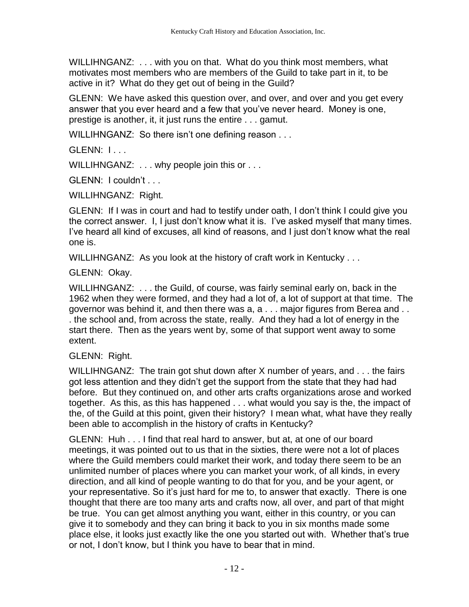WILLIHNGANZ: ... with you on that. What do you think most members, what motivates most members who are members of the Guild to take part in it, to be active in it? What do they get out of being in the Guild?

GLENN: We have asked this question over, and over, and over and you get every answer that you ever heard and a few that you've never heard. Money is one, prestige is another, it, it just runs the entire . . . gamut.

WILLIHNGANZ: So there isn't one defining reason . . .

 $GI$  FNN:  $I_{11}$ 

WILLIHNGANZ: ... why people join this or ...

GLENN: I couldn't . . .

WILLIHNGANZ: Right.

GLENN: If I was in court and had to testify under oath, I don't think I could give you the correct answer. I, I just don't know what it is. I've asked myself that many times. I've heard all kind of excuses, all kind of reasons, and I just don't know what the real one is.

WILLIHNGANZ: As you look at the history of craft work in Kentucky . . .

#### GLENN: Okay.

WILLIHNGANZ: . . . the Guild, of course, was fairly seminal early on, back in the 1962 when they were formed, and they had a lot of, a lot of support at that time. The governor was behind it, and then there was a, a . . . major figures from Berea and . . . the school and, from across the state, really. And they had a lot of energy in the start there. Then as the years went by, some of that support went away to some extent.

#### GLENN: Right.

WILLIHNGANZ: The train got shut down after X number of years, and . . . the fairs got less attention and they didn't get the support from the state that they had had before. But they continued on, and other arts crafts organizations arose and worked together. As this, as this has happened . . . what would you say is the, the impact of the, of the Guild at this point, given their history? I mean what, what have they really been able to accomplish in the history of crafts in Kentucky?

GLENN: Huh . . . I find that real hard to answer, but at, at one of our board meetings, it was pointed out to us that in the sixties, there were not a lot of places where the Guild members could market their work, and today there seem to be an unlimited number of places where you can market your work, of all kinds, in every direction, and all kind of people wanting to do that for you, and be your agent, or your representative. So it's just hard for me to, to answer that exactly. There is one thought that there are too many arts and crafts now, all over, and part of that might be true. You can get almost anything you want, either in this country, or you can give it to somebody and they can bring it back to you in six months made some place else, it looks just exactly like the one you started out with. Whether that's true or not, I don't know, but I think you have to bear that in mind.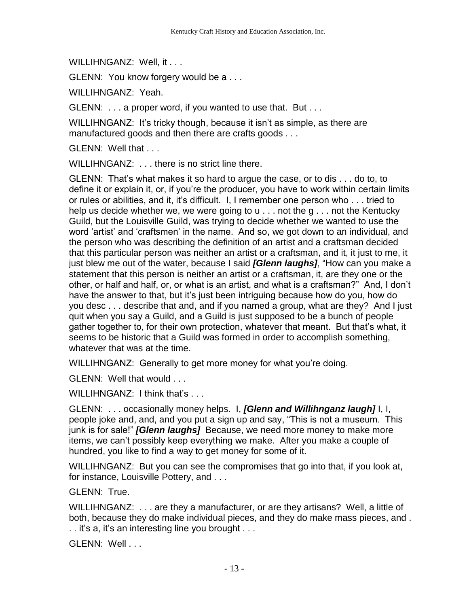WILLIHNGANZ: Well, it . . .

GLENN: You know forgery would be a . . .

WILLIHNGANZ: Yeah.

GLENN: . . . a proper word, if you wanted to use that. But . . .

WILLIHNGANZ: It's tricky though, because it isn't as simple, as there are manufactured goods and then there are crafts goods . . .

GLENN: Well that . . .

WILLIHNGANZ: . . . there is no strict line there.

GLENN: That's what makes it so hard to argue the case, or to dis . . . do to, to define it or explain it, or, if you're the producer, you have to work within certain limits or rules or abilities, and it, it's difficult. I, I remember one person who . . . tried to help us decide whether we, we were going to u... not the g... not the Kentucky Guild, but the Louisville Guild, was trying to decide whether we wanted to use the word 'artist' and 'craftsmen' in the name. And so, we got down to an individual, and the person who was describing the definition of an artist and a craftsman decided that this particular person was neither an artist or a craftsman, and it, it just to me, it just blew me out of the water, because I said *[Glenn laughs]*, "How can you make a statement that this person is neither an artist or a craftsman, it, are they one or the other, or half and half, or, or what is an artist, and what is a craftsman?" And, I don't have the answer to that, but it's just been intriguing because how do you, how do you desc . . . describe that and, and if you named a group, what are they? And I just quit when you say a Guild, and a Guild is just supposed to be a bunch of people gather together to, for their own protection, whatever that meant. But that's what, it seems to be historic that a Guild was formed in order to accomplish something, whatever that was at the time.

WILLIHNGANZ: Generally to get more money for what you're doing.

GLENN: Well that would . . .

WILLIHNGANZ: I think that's .

GLENN: . . . occasionally money helps. I, *[Glenn and Willihnganz laugh]* I, I, people joke and, and, and you put a sign up and say, "This is not a museum. This junk is for sale!" *[Glenn laughs]* Because, we need more money to make more items, we can't possibly keep everything we make. After you make a couple of hundred, you like to find a way to get money for some of it.

WILLIHNGANZ: But you can see the compromises that go into that, if you look at, for instance, Louisville Pottery, and . . .

GLENN: True.

WILLIHNGANZ: . . . are they a manufacturer, or are they artisans? Well, a little of both, because they do make individual pieces, and they do make mass pieces, and . . . it's a, it's an interesting line you brought . . .

GLENN: Well . . .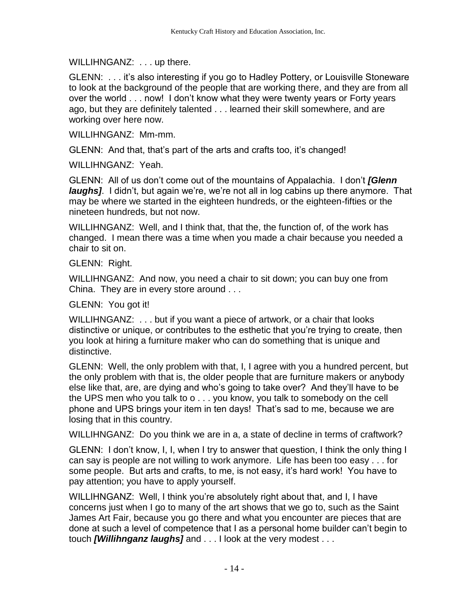WILLIHNGANZ: . . . up there.

GLENN: . . . it's also interesting if you go to Hadley Pottery, or Louisville Stoneware to look at the background of the people that are working there, and they are from all over the world . . . now! I don't know what they were twenty years or Forty years ago, but they are definitely talented . . . learned their skill somewhere, and are working over here now.

WILLIHNGANZ: Mm-mm.

GLENN: And that, that's part of the arts and crafts too, it's changed!

WILLIHNGANZ: Yeah.

GLENN: All of us don't come out of the mountains of Appalachia. I don't *[Glenn laughs]*. I didn't, but again we're, we're not all in log cabins up there anymore. That may be where we started in the eighteen hundreds, or the eighteen-fifties or the nineteen hundreds, but not now.

WILLIHNGANZ: Well, and I think that, that the, the function of, of the work has changed. I mean there was a time when you made a chair because you needed a chair to sit on.

GLENN: Right.

WILLIHNGANZ: And now, you need a chair to sit down; you can buy one from China. They are in every store around . . .

GLENN: You got it!

WILLIHNGANZ: . . . but if you want a piece of artwork, or a chair that looks distinctive or unique, or contributes to the esthetic that you're trying to create, then you look at hiring a furniture maker who can do something that is unique and distinctive.

GLENN: Well, the only problem with that, I, I agree with you a hundred percent, but the only problem with that is, the older people that are furniture makers or anybody else like that, are, are dying and who's going to take over? And they'll have to be the UPS men who you talk to o . . . you know, you talk to somebody on the cell phone and UPS brings your item in ten days! That's sad to me, because we are losing that in this country.

WILLIHNGANZ: Do you think we are in a, a state of decline in terms of craftwork?

GLENN: I don't know, I, I, when I try to answer that question, I think the only thing I can say is people are not willing to work anymore. Life has been too easy . . . for some people. But arts and crafts, to me, is not easy, it's hard work! You have to pay attention; you have to apply yourself.

WILLIHNGANZ: Well, I think you're absolutely right about that, and I, I have concerns just when I go to many of the art shows that we go to, such as the Saint James Art Fair, because you go there and what you encounter are pieces that are done at such a level of competence that I as a personal home builder can't begin to touch *[Willihnganz laughs]* and . . . I look at the very modest . . .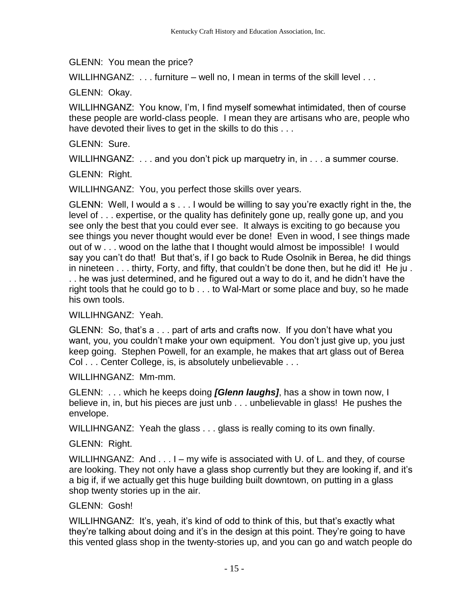GLENN: You mean the price?

WILLIHNGANZ: ... furniture – well no, I mean in terms of the skill level ...

GLENN: Okay.

WILLIHNGANZ: You know, I'm, I find myself somewhat intimidated, then of course these people are world-class people. I mean they are artisans who are, people who have devoted their lives to get in the skills to do this . . .

GLENN: Sure.

WILLIHNGANZ: . . . and you don't pick up marquetry in, in . . . a summer course.

GLENN: Right.

WILLIHNGANZ: You, you perfect those skills over years.

GLENN: Well, I would a s . . . I would be willing to say you're exactly right in the, the level of . . . expertise, or the quality has definitely gone up, really gone up, and you see only the best that you could ever see. It always is exciting to go because you see things you never thought would ever be done! Even in wood, I see things made out of w . . . wood on the lathe that I thought would almost be impossible! I would say you can't do that! But that's, if I go back to Rude Osolnik in Berea, he did things in nineteen . . . thirty, Forty, and fifty, that couldn't be done then, but he did it! He ju . . . he was just determined, and he figured out a way to do it, and he didn't have the right tools that he could go to b . . . to Wal-Mart or some place and buy, so he made his own tools.

#### WILLIHNGANZ: Yeah.

GLENN: So, that's a . . . part of arts and crafts now. If you don't have what you want, you, you couldn't make your own equipment. You don't just give up, you just keep going. Stephen Powell, for an example, he makes that art glass out of Berea Col . . . Center College, is, is absolutely unbelievable . . .

WILLIHNGANZ: Mm-mm.

GLENN: . . . which he keeps doing *[Glenn laughs]*, has a show in town now, I believe in, in, but his pieces are just unb . . . unbelievable in glass! He pushes the envelope.

WILLIHNGANZ: Yeah the glass . . . glass is really coming to its own finally.

# GLENN: Right.

WILLIHNGANZ: And . . . I – my wife is associated with U. of L. and they, of course are looking. They not only have a glass shop currently but they are looking if, and it's a big if, if we actually get this huge building built downtown, on putting in a glass shop twenty stories up in the air.

# GLENN: Gosh!

WILLIHNGANZ: It's, yeah, it's kind of odd to think of this, but that's exactly what they're talking about doing and it's in the design at this point. They're going to have this vented glass shop in the twenty-stories up, and you can go and watch people do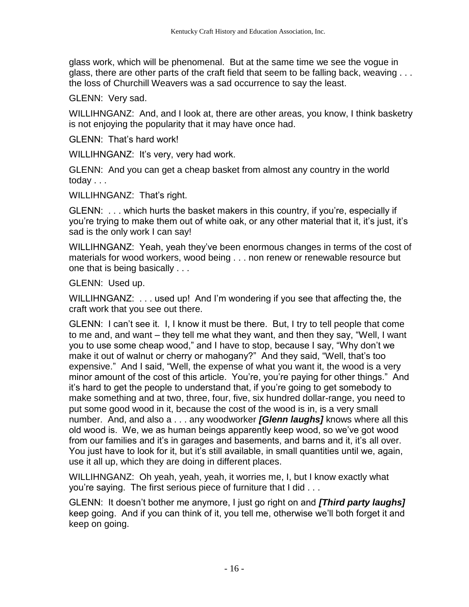glass work, which will be phenomenal. But at the same time we see the vogue in glass, there are other parts of the craft field that seem to be falling back, weaving . . . the loss of Churchill Weavers was a sad occurrence to say the least.

GLENN: Very sad.

WILLIHNGANZ: And, and I look at, there are other areas, you know, I think basketry is not enjoying the popularity that it may have once had.

GLENN: That's hard work!

WILLIHNGANZ: It's very, very had work.

GLENN: And you can get a cheap basket from almost any country in the world today . . .

WILLIHNGANZ: That's right.

GLENN: . . . which hurts the basket makers in this country, if you're, especially if you're trying to make them out of white oak, or any other material that it, it's just, it's sad is the only work I can say!

WILLIHNGANZ: Yeah, yeah they've been enormous changes in terms of the cost of materials for wood workers, wood being . . . non renew or renewable resource but one that is being basically . . .

GLENN: Used up.

WILLIHNGANZ: . . . used up! And I'm wondering if you see that affecting the, the craft work that you see out there.

GLENN: I can't see it. I, I know it must be there. But, I try to tell people that come to me and, and want – they tell me what they want, and then they say, "Well, I want you to use some cheap wood," and I have to stop, because I say, "Why don't we make it out of walnut or cherry or mahogany?" And they said, "Well, that's too expensive." And I said, "Well, the expense of what you want it, the wood is a very minor amount of the cost of this article. You're, you're paying for other things." And it's hard to get the people to understand that, if you're going to get somebody to make something and at two, three, four, five, six hundred dollar-range, you need to put some good wood in it, because the cost of the wood is in, is a very small number. And, and also a . . . any woodworker *[Glenn laughs]* knows where all this old wood is. We, we as human beings apparently keep wood, so we've got wood from our families and it's in garages and basements, and barns and it, it's all over. You just have to look for it, but it's still available, in small quantities until we, again, use it all up, which they are doing in different places.

WILLIHNGANZ: Oh yeah, yeah, yeah, it worries me, I, but I know exactly what you're saying. The first serious piece of furniture that I did . . .

GLENN: It doesn't bother me anymore, I just go right on and *[Third party laughs]* keep going. And if you can think of it, you tell me, otherwise we'll both forget it and keep on going.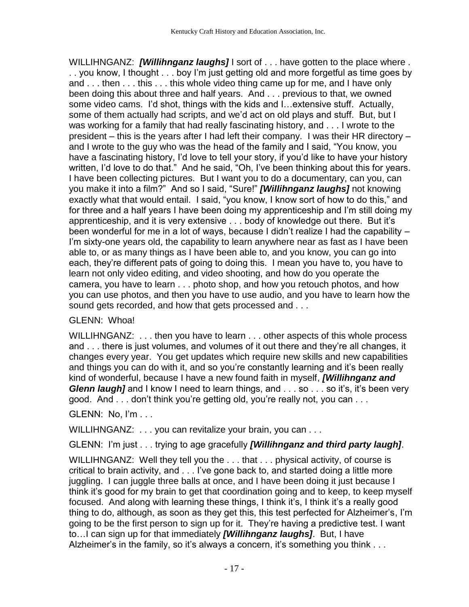WILLIHNGANZ: *[Willihnganz laughs]* I sort of . . . have gotten to the place where . . . you know, I thought . . . boy I'm just getting old and more forgetful as time goes by and . . . then . . . this . . . this whole video thing came up for me, and I have only been doing this about three and half years. And . . . previous to that, we owned some video cams. I'd shot, things with the kids and I…extensive stuff. Actually, some of them actually had scripts, and we'd act on old plays and stuff. But, but I was working for a family that had really fascinating history, and . . . I wrote to the president – this is the years after I had left their company. I was their HR directory – and I wrote to the guy who was the head of the family and I said, "You know, you have a fascinating history, I'd love to tell your story, if you'd like to have your history written, I'd love to do that." And he said, "Oh, I've been thinking about this for years. I have been collecting pictures. But I want you to do a documentary, can you, can you make it into a film?" And so I said, "Sure!" *[Willihnganz laughs]* not knowing exactly what that would entail. I said, "you know, I know sort of how to do this," and for three and a half years I have been doing my apprenticeship and I'm still doing my apprenticeship, and it is very extensive . . . body of knowledge out there. But it's been wonderful for me in a lot of ways, because I didn't realize I had the capability – I'm sixty-one years old, the capability to learn anywhere near as fast as I have been able to, or as many things as I have been able to, and you know, you can go into each, they're different pats of going to doing this. I mean you have to, you have to learn not only video editing, and video shooting, and how do you operate the camera, you have to learn . . . photo shop, and how you retouch photos, and how you can use photos, and then you have to use audio, and you have to learn how the sound gets recorded, and how that gets processed and . . .

# GLENN: Whoa!

WILLIHNGANZ: . . . then you have to learn . . . other aspects of this whole process and . . . there is just volumes, and volumes of it out there and they're all changes, it changes every year. You get updates which require new skills and new capabilities and things you can do with it, and so you're constantly learning and it's been really kind of wonderful, because I have a new found faith in myself, *[Willihnganz and Glenn laugh]* and I know I need to learn things, and . . . so . . . so it's, it's been very good. And . . . don't think you're getting old, you're really not, you can . . .

GLENN: No, I'm . . .

WILLIHNGANZ: ... you can revitalize your brain, you can ...

GLENN: I'm just . . . trying to age gracefully *[Willihnganz and third party laugh]*.

WILLIHNGANZ: Well they tell you the . . . that . . . physical activity, of course is critical to brain activity, and . . . I've gone back to, and started doing a little more juggling. I can juggle three balls at once, and I have been doing it just because I think it's good for my brain to get that coordination going and to keep, to keep myself focused. And along with learning these things, I think it's, I think it's a really good thing to do, although, as soon as they get this, this test perfected for Alzheimer's, I'm going to be the first person to sign up for it. They're having a predictive test. I want to…I can sign up for that immediately *[Willihnganz laughs]*. But, I have Alzheimer's in the family, so it's always a concern, it's something you think ...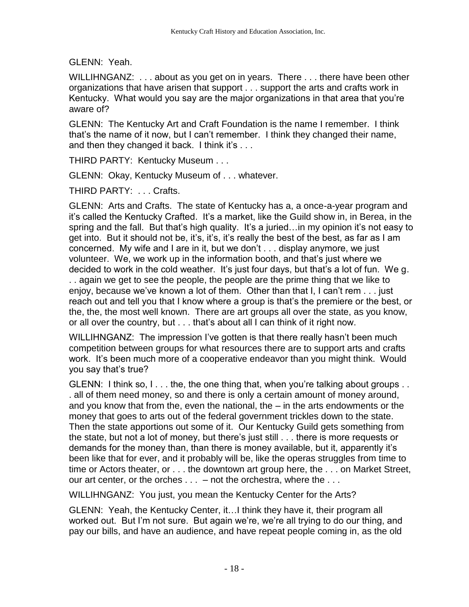GLENN: Yeah.

WILLIHNGANZ: ... about as you get on in years. There ... there have been other organizations that have arisen that support . . . support the arts and crafts work in Kentucky. What would you say are the major organizations in that area that you're aware of?

GLENN: The Kentucky Art and Craft Foundation is the name I remember. I think that's the name of it now, but I can't remember. I think they changed their name, and then they changed it back. I think it's . . .

THIRD PARTY: Kentucky Museum . . .

GLENN: Okay, Kentucky Museum of . . . whatever.

THIRD PARTY: . . . Crafts.

GLENN: Arts and Crafts. The state of Kentucky has a, a once-a-year program and it's called the Kentucky Crafted. It's a market, like the Guild show in, in Berea, in the spring and the fall. But that's high quality. It's a juried…in my opinion it's not easy to get into. But it should not be, it's, it's, it's really the best of the best, as far as I am concerned. My wife and I are in it, but we don't . . . display anymore, we just volunteer. We, we work up in the information booth, and that's just where we decided to work in the cold weather. It's just four days, but that's a lot of fun. We g. . . again we get to see the people, the people are the prime thing that we like to enjoy, because we've known a lot of them. Other than that I, I can't rem . . . just reach out and tell you that I know where a group is that's the premiere or the best, or the, the, the most well known. There are art groups all over the state, as you know, or all over the country, but . . . that's about all I can think of it right now.

WILLIHNGANZ: The impression I've gotten is that there really hasn't been much competition between groups for what resources there are to support arts and crafts work. It's been much more of a cooperative endeavor than you might think. Would you say that's true?

GLENN: I think so, I . . . the, the one thing that, when you're talking about groups . . . all of them need money, so and there is only a certain amount of money around, and you know that from the, even the national, the – in the arts endowments or the money that goes to arts out of the federal government trickles down to the state. Then the state apportions out some of it. Our Kentucky Guild gets something from the state, but not a lot of money, but there's just still . . . there is more requests or demands for the money than, than there is money available, but it, apparently it's been like that for ever, and it probably will be, like the operas struggles from time to time or Actors theater, or . . . the downtown art group here, the . . . on Market Street, our art center, or the orches  $\dots$  – not the orchestra, where the  $\dots$ 

WILLIHNGANZ: You just, you mean the Kentucky Center for the Arts?

GLENN: Yeah, the Kentucky Center, it…I think they have it, their program all worked out. But I'm not sure. But again we're, we're all trying to do our thing, and pay our bills, and have an audience, and have repeat people coming in, as the old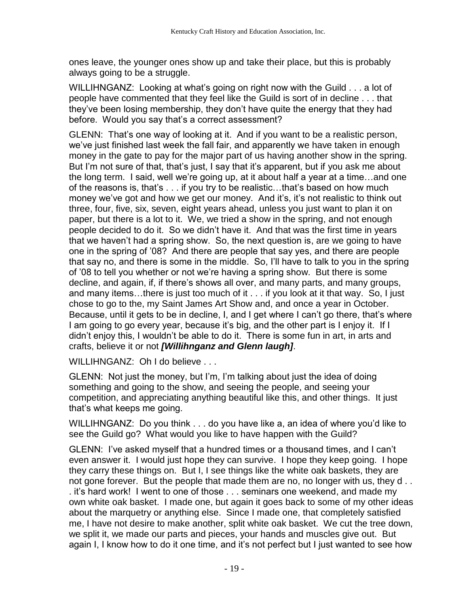ones leave, the younger ones show up and take their place, but this is probably always going to be a struggle.

WILLIHNGANZ: Looking at what's going on right now with the Guild . . . a lot of people have commented that they feel like the Guild is sort of in decline . . . that they've been losing membership, they don't have quite the energy that they had before. Would you say that's a correct assessment?

GLENN: That's one way of looking at it. And if you want to be a realistic person, we've just finished last week the fall fair, and apparently we have taken in enough money in the gate to pay for the major part of us having another show in the spring. But I'm not sure of that, that's just, I say that it's apparent, but if you ask me about the long term. I said, well we're going up, at it about half a year at a time…and one of the reasons is, that's . . . if you try to be realistic…that's based on how much money we've got and how we get our money. And it's, it's not realistic to think out three, four, five, six, seven, eight years ahead, unless you just want to plan it on paper, but there is a lot to it. We, we tried a show in the spring, and not enough people decided to do it. So we didn't have it. And that was the first time in years that we haven't had a spring show. So, the next question is, are we going to have one in the spring of '08? And there are people that say yes, and there are people that say no, and there is some in the middle. So, I'll have to talk to you in the spring of '08 to tell you whether or not we're having a spring show. But there is some decline, and again, if, if there's shows all over, and many parts, and many groups, and many items…there is just too much of it . . . if you look at it that way. So, I just chose to go to the, my Saint James Art Show and, and once a year in October. Because, until it gets to be in decline, I, and I get where I can't go there, that's where I am going to go every year, because it's big, and the other part is I enjoy it. If I didn't enjoy this, I wouldn't be able to do it. There is some fun in art, in arts and crafts, believe it or not *[Willihnganz and Glenn laugh]*.

WILLIHNGANZ: Oh I do believe . . .

GLENN: Not just the money, but I'm, I'm talking about just the idea of doing something and going to the show, and seeing the people, and seeing your competition, and appreciating anything beautiful like this, and other things. It just that's what keeps me going.

WILLIHNGANZ: Do you think . . . do you have like a, an idea of where you'd like to see the Guild go? What would you like to have happen with the Guild?

GLENN: I've asked myself that a hundred times or a thousand times, and I can't even answer it. I would just hope they can survive. I hope they keep going. I hope they carry these things on. But I, I see things like the white oak baskets, they are not gone forever. But the people that made them are no, no longer with us, they d . . . it's hard work! I went to one of those . . . seminars one weekend, and made my own white oak basket. I made one, but again it goes back to some of my other ideas about the marquetry or anything else. Since I made one, that completely satisfied me, I have not desire to make another, split white oak basket. We cut the tree down, we split it, we made our parts and pieces, your hands and muscles give out. But again I, I know how to do it one time, and it's not perfect but I just wanted to see how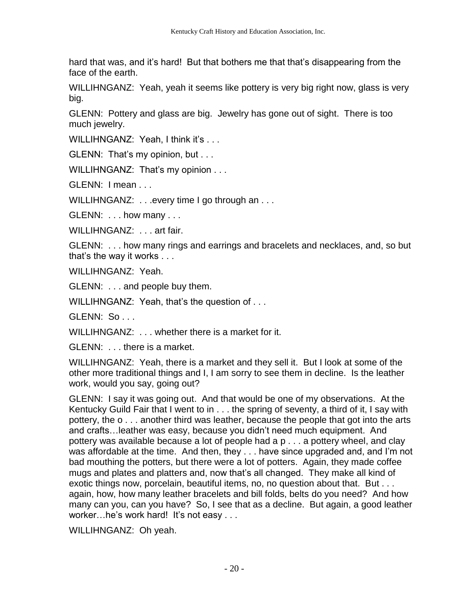hard that was, and it's hard! But that bothers me that that's disappearing from the face of the earth.

WILLIHNGANZ: Yeah, yeah it seems like pottery is very big right now, glass is very big.

GLENN: Pottery and glass are big. Jewelry has gone out of sight. There is too much jewelry.

WILLIHNGANZ: Yeah, I think it's ...

GLENN: That's my opinion, but . . .

WILLIHNGANZ: That's my opinion . . .

GLENN: I mean . . .

WILLIHNGANZ: . . . every time I go through an . . .

GLENN: . . . how many . . .

WILLIHNGANZ: . . . art fair.

GLENN: . . . how many rings and earrings and bracelets and necklaces, and, so but that's the way it works . . .

WILLIHNGANZ: Yeah.

GLENN: . . . and people buy them.

WILLIHNGANZ: Yeah, that's the question of . . .

GLENN: So . . .

WILLIHNGANZ: . . . whether there is a market for it.

GLENN: . . . there is a market.

WILLIHNGANZ: Yeah, there is a market and they sell it. But I look at some of the other more traditional things and I, I am sorry to see them in decline. Is the leather work, would you say, going out?

GLENN: I say it was going out. And that would be one of my observations. At the Kentucky Guild Fair that I went to in . . . the spring of seventy, a third of it, I say with pottery, the o . . . another third was leather, because the people that got into the arts and crafts…leather was easy, because you didn't need much equipment. And pottery was available because a lot of people had a p . . . a pottery wheel, and clay was affordable at the time. And then, they . . . have since upgraded and, and I'm not bad mouthing the potters, but there were a lot of potters. Again, they made coffee mugs and plates and platters and, now that's all changed. They make all kind of exotic things now, porcelain, beautiful items, no, no question about that. But . . . again, how, how many leather bracelets and bill folds, belts do you need? And how many can you, can you have? So, I see that as a decline. But again, a good leather worker...he's work hard! It's not easy ...

WILLIHNGANZ: Oh yeah.